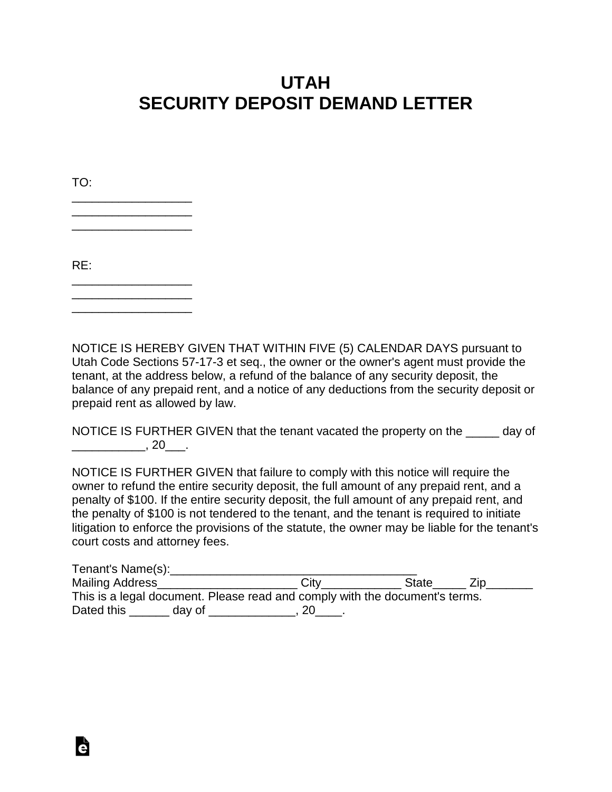## **UTAH SECURITY DEPOSIT DEMAND LETTER**

| TO: |  |  |  |  |
|-----|--|--|--|--|
|     |  |  |  |  |
|     |  |  |  |  |
| RE: |  |  |  |  |
|     |  |  |  |  |

\_\_\_\_\_\_\_\_\_\_\_\_\_\_\_\_\_\_

NOTICE IS HEREBY GIVEN THAT WITHIN FIVE (5) CALENDAR DAYS pursuant to Utah Code Sections 57-17-3 et seq., the owner or the owner's agent must provide the tenant, at the address below, a refund of the balance of any security deposit, the balance of any prepaid rent, and a notice of any deductions from the security deposit or prepaid rent as allowed by law.

NOTICE IS FURTHER GIVEN that the tenant vacated the property on the \_\_\_\_\_ day of  $\overline{\phantom{a}}$ , 20 $\overline{\phantom{a}}$ .

NOTICE IS FURTHER GIVEN that failure to comply with this notice will require the owner to refund the entire security deposit, the full amount of any prepaid rent, and a penalty of \$100. If the entire security deposit, the full amount of any prepaid rent, and the penalty of \$100 is not tendered to the tenant, and the tenant is required to initiate litigation to enforce the provisions of the statute, the owner may be liable for the tenant's court costs and attorney fees.

| Tenant's Name(s):                                                           |        |      |              |  |  |  |  |  |
|-----------------------------------------------------------------------------|--------|------|--------------|--|--|--|--|--|
| Mailing Address                                                             |        | City | <b>State</b> |  |  |  |  |  |
| This is a legal document. Please read and comply with the document's terms. |        |      |              |  |  |  |  |  |
| Dated this                                                                  | day of |      |              |  |  |  |  |  |